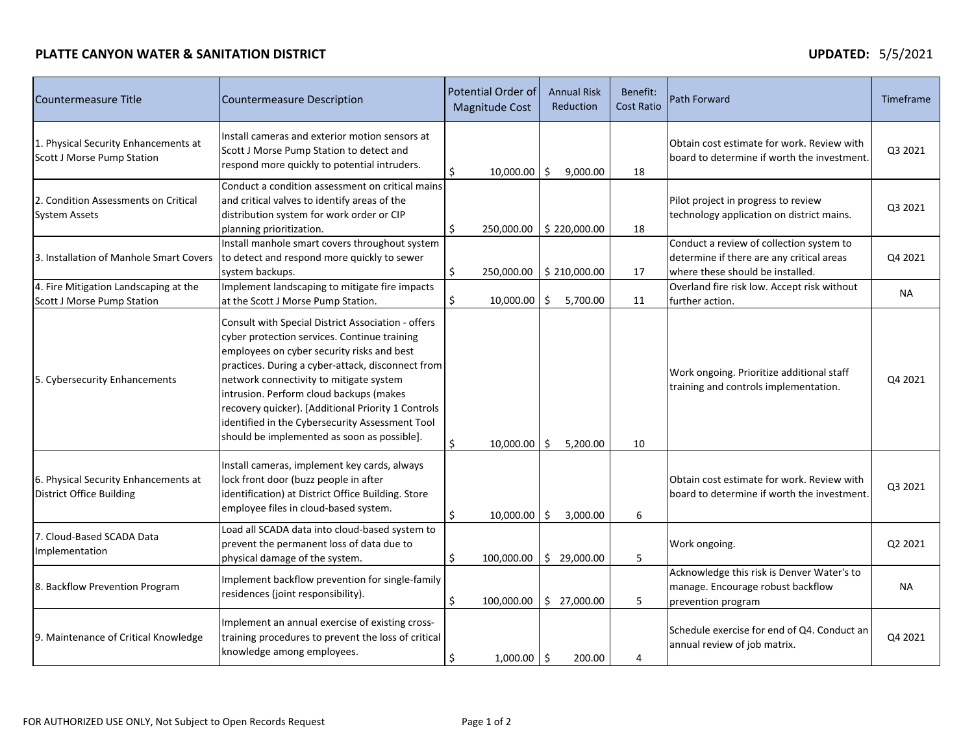### **PLATTE CANYON WATER & SANITATION DISTRICT**

| Countermeasure Title                                                       | <b>Countermeasure Description</b>                                                                                                                                                                                                                                                                                                                                                                                                                   |    | <b>Potential Order of</b><br><b>Magnitude Cost</b> |    | <b>Annual Risk</b><br>Reduction | Benefit:<br><b>Cost Ratio</b> | <b>Path Forward</b>                                                                                                       | Timeframe |
|----------------------------------------------------------------------------|-----------------------------------------------------------------------------------------------------------------------------------------------------------------------------------------------------------------------------------------------------------------------------------------------------------------------------------------------------------------------------------------------------------------------------------------------------|----|----------------------------------------------------|----|---------------------------------|-------------------------------|---------------------------------------------------------------------------------------------------------------------------|-----------|
| 1. Physical Security Enhancements at<br><b>Scott J Morse Pump Station</b>  | Install cameras and exterior motion sensors at<br>Scott J Morse Pump Station to detect and<br>respond more quickly to potential intruders.                                                                                                                                                                                                                                                                                                          | Ś. | 10,000.00                                          | Ŝ. | 9,000.00                        | 18                            | Obtain cost estimate for work. Review with<br>board to determine if worth the investment.                                 | Q3 2021   |
| 2. Condition Assessments on Critical<br><b>System Assets</b>               | Conduct a condition assessment on critical mains<br>and critical valves to identify areas of the<br>distribution system for work order or CIP<br>planning prioritization.                                                                                                                                                                                                                                                                           | \$ | 250,000.00                                         |    | \$220,000.00                    | 18                            | Pilot project in progress to review<br>technology application on district mains.                                          | Q3 2021   |
| 3. Installation of Manhole Smart Covers                                    | Install manhole smart covers throughout system<br>to detect and respond more quickly to sewer<br>system backups.                                                                                                                                                                                                                                                                                                                                    | \$ | 250,000.00                                         |    | \$210,000.00                    | 17                            | Conduct a review of collection system to<br>determine if there are any critical areas<br>where these should be installed. | Q4 2021   |
| 4. Fire Mitigation Landscaping at the<br><b>Scott J Morse Pump Station</b> | Implement landscaping to mitigate fire impacts<br>at the Scott J Morse Pump Station.                                                                                                                                                                                                                                                                                                                                                                | \$ | 10,000.00                                          | \$ | 5,700.00                        | 11                            | Overland fire risk low. Accept risk without<br>further action.                                                            | <b>NA</b> |
| 5. Cybersecurity Enhancements                                              | Consult with Special District Association - offers<br>cyber protection services. Continue training<br>employees on cyber security risks and best<br>practices. During a cyber-attack, disconnect from<br>network connectivity to mitigate system<br>intrusion. Perform cloud backups (makes<br>recovery quicker). [Additional Priority 1 Controls<br>identified in the Cybersecurity Assessment Tool<br>should be implemented as soon as possible]. | \$ | 10,000.00                                          | Ŝ. | 5,200.00                        | 10                            | Work ongoing. Prioritize additional staff<br>training and controls implementation.                                        | Q4 2021   |
| 6. Physical Security Enhancements at<br><b>District Office Building</b>    | Install cameras, implement key cards, always<br>lock front door (buzz people in after<br>identification) at District Office Building. Store<br>employee files in cloud-based system.                                                                                                                                                                                                                                                                | \$ | 10,000.00                                          | Ŝ. | 3,000.00                        | 6                             | Obtain cost estimate for work. Review with<br>board to determine if worth the investment.                                 | Q3 2021   |
| 7. Cloud-Based SCADA Data<br>Implementation                                | Load all SCADA data into cloud-based system to<br>prevent the permanent loss of data due to<br>physical damage of the system.                                                                                                                                                                                                                                                                                                                       | \$ | 100,000.00                                         |    | \$29,000.00                     | 5                             | Work ongoing.                                                                                                             | Q2 2021   |
| 8. Backflow Prevention Program                                             | Implement backflow prevention for single-family<br>residences (joint responsibility).                                                                                                                                                                                                                                                                                                                                                               | \$ | 100,000.00                                         |    | \$27,000.00                     | 5                             | Acknowledge this risk is Denver Water's to<br>manage. Encourage robust backflow<br>prevention program                     | <b>NA</b> |
| 9. Maintenance of Critical Knowledge                                       | Implement an annual exercise of existing cross-<br>training procedures to prevent the loss of critical<br>knowledge among employees.                                                                                                                                                                                                                                                                                                                | \$ | $1,000.00$ \$                                      |    | 200.00                          | 4                             | Schedule exercise for end of Q4. Conduct an<br>annual review of job matrix.                                               | Q4 2021   |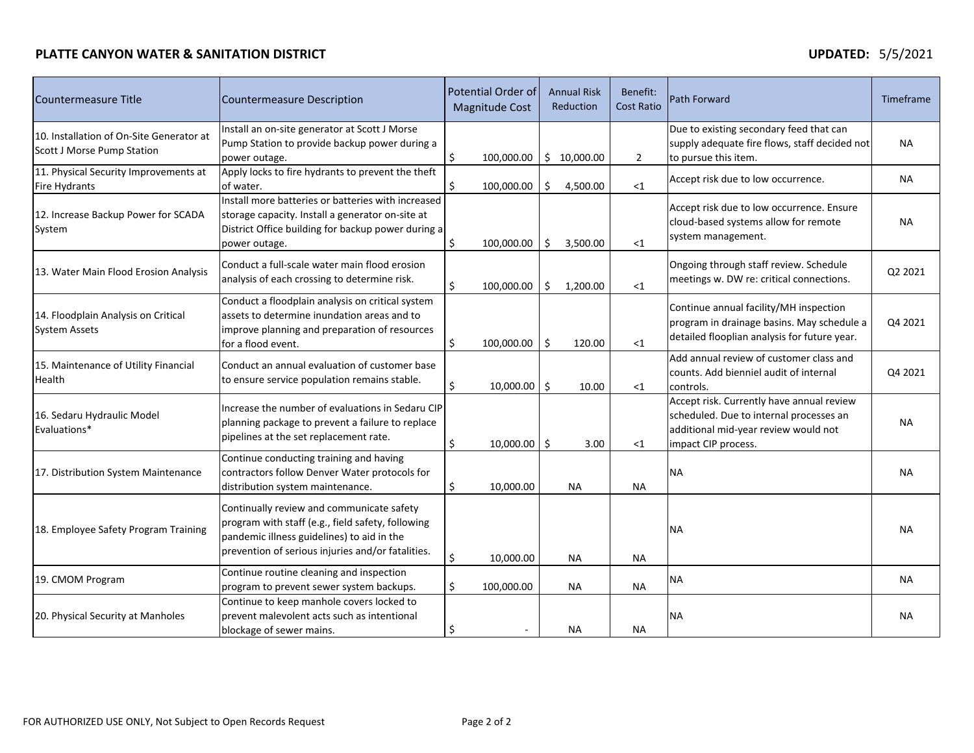### **PLATTE CANYON WATER & SANITATION DISTRICT**

| Countermeasure Title                                                          | <b>Countermeasure Description</b>                                                                                                                                                                 |    | Potential Order of<br><b>Magnitude Cost</b> |    | <b>Annual Risk</b><br>Reduction | Benefit:<br><b>Cost Ratio</b> | <b>Path Forward</b>                                                                                                                                 | Timeframe |
|-------------------------------------------------------------------------------|---------------------------------------------------------------------------------------------------------------------------------------------------------------------------------------------------|----|---------------------------------------------|----|---------------------------------|-------------------------------|-----------------------------------------------------------------------------------------------------------------------------------------------------|-----------|
| 10. Installation of On-Site Generator at<br><b>Scott J Morse Pump Station</b> | Install an on-site generator at Scott J Morse<br>Pump Station to provide backup power during a<br>power outage.                                                                                   | \$ | 100,000.00                                  |    | \$10,000.00                     | $\overline{2}$                | Due to existing secondary feed that can<br>supply adequate fire flows, staff decided not<br>to pursue this item.                                    | <b>NA</b> |
| 11. Physical Security Improvements at<br>Fire Hydrants                        | Apply locks to fire hydrants to prevent the theft<br>of water.                                                                                                                                    | \$ | 100,000.00                                  | Ś. | 4,500.00                        | $\leq$ 1                      | Accept risk due to low occurrence.                                                                                                                  | <b>NA</b> |
| 12. Increase Backup Power for SCADA<br>System                                 | Install more batteries or batteries with increased<br>storage capacity. Install a generator on-site at<br>District Office building for backup power during a<br>power outage.                     | \$ | 100,000.00                                  | Ś  | 3,500.00                        | $<$ 1                         | Accept risk due to low occurrence. Ensure<br>cloud-based systems allow for remote<br>system management.                                             | <b>NA</b> |
| 13. Water Main Flood Erosion Analysis                                         | Conduct a full-scale water main flood erosion<br>analysis of each crossing to determine risk.                                                                                                     | Ś. | 100,000.00                                  | \$ | 1,200.00                        | $<$ 1                         | Ongoing through staff review. Schedule<br>meetings w. DW re: critical connections.                                                                  | Q2 2021   |
| 14. Floodplain Analysis on Critical<br><b>System Assets</b>                   | Conduct a floodplain analysis on critical system<br>assets to determine inundation areas and to<br>improve planning and preparation of resources<br>for a flood event.                            | \$ | 100,000.00                                  | Ś. | 120.00                          | <1                            | Continue annual facility/MH inspection<br>program in drainage basins. May schedule a<br>detailed flooplian analysis for future year.                | Q4 2021   |
| 15. Maintenance of Utility Financial<br>Health                                | Conduct an annual evaluation of customer base<br>to ensure service population remains stable.                                                                                                     | \$ | $10,000.00$ \$                              |    | 10.00                           | $<$ 1                         | Add annual review of customer class and<br>counts. Add bienniel audit of internal<br>controls.                                                      | Q4 2021   |
| 16. Sedaru Hydraulic Model<br>Evaluations*                                    | Increase the number of evaluations in Sedaru CIP<br>planning package to prevent a failure to replace<br>pipelines at the set replacement rate.                                                    | \$ | $10,000.00$   \$                            |    | 3.00                            | $<$ 1                         | Accept risk. Currently have annual review<br>scheduled. Due to internal processes an<br>additional mid-year review would not<br>impact CIP process. | <b>NA</b> |
| 17. Distribution System Maintenance                                           | Continue conducting training and having<br>contractors follow Denver Water protocols for<br>distribution system maintenance.                                                                      | \$ | 10,000.00                                   |    | <b>NA</b>                       | <b>NA</b>                     | <b>NA</b>                                                                                                                                           | <b>NA</b> |
| 18. Employee Safety Program Training                                          | Continually review and communicate safety<br>program with staff (e.g., field safety, following<br>pandemic illness guidelines) to aid in the<br>prevention of serious injuries and/or fatalities. | \$ | 10,000.00                                   |    | <b>NA</b>                       | <b>NA</b>                     | <b>NA</b>                                                                                                                                           | <b>NA</b> |
| 19. CMOM Program                                                              | Continue routine cleaning and inspection<br>program to prevent sewer system backups.                                                                                                              | \$ | 100,000.00                                  |    | <b>NA</b>                       | NA                            | <b>NA</b>                                                                                                                                           | <b>NA</b> |
| 20. Physical Security at Manholes                                             | Continue to keep manhole covers locked to<br>prevent malevolent acts such as intentional<br>blockage of sewer mains.                                                                              | \$ |                                             |    | <b>NA</b>                       | <b>NA</b>                     | <b>NA</b>                                                                                                                                           | <b>NA</b> |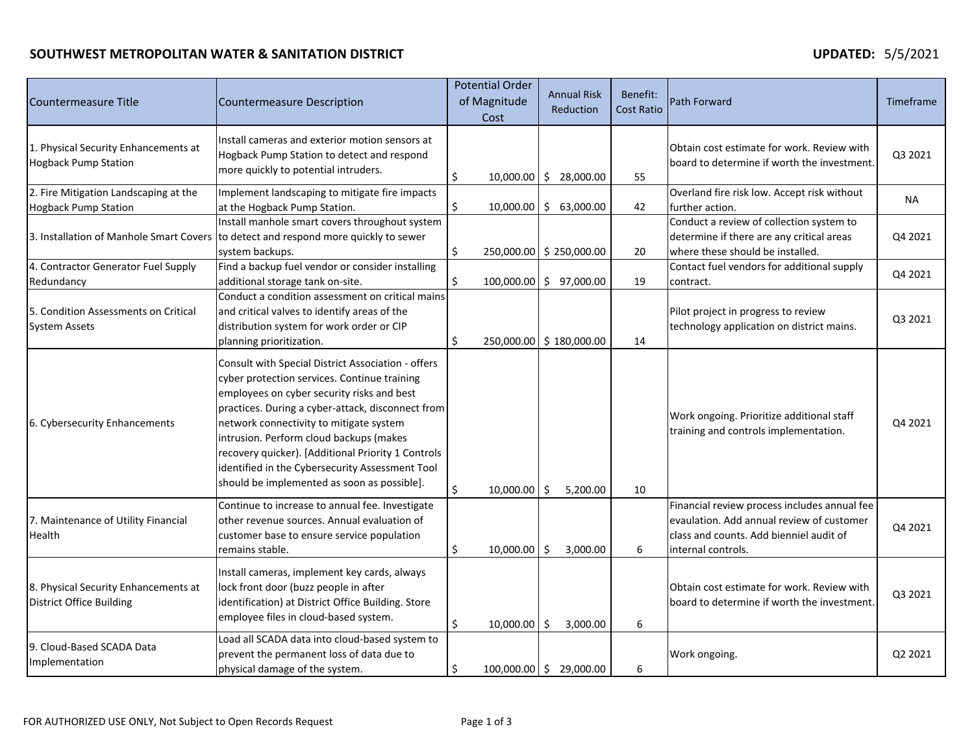# **SOUTHWEST METROPOLITAN WATER & SANITATION DISTRICT UPDATED:** 5/5/2021

| Countermeasure Title                                                    | <b>Countermeasure Description</b>                                                                                                                                                                                                                                                                                                                                                                                                                   |    | <b>Potential Order</b><br>of Magnitude<br>Cost | <b>Annual Risk</b><br><b>Reduction</b> | Benefit:<br><b>Cost Ratio</b> | <b>Path Forward</b>                                                                                                                                        | Timeframe |
|-------------------------------------------------------------------------|-----------------------------------------------------------------------------------------------------------------------------------------------------------------------------------------------------------------------------------------------------------------------------------------------------------------------------------------------------------------------------------------------------------------------------------------------------|----|------------------------------------------------|----------------------------------------|-------------------------------|------------------------------------------------------------------------------------------------------------------------------------------------------------|-----------|
| 1. Physical Security Enhancements at<br><b>Hogback Pump Station</b>     | Install cameras and exterior motion sensors at<br>Hogback Pump Station to detect and respond<br>more quickly to potential intruders.                                                                                                                                                                                                                                                                                                                | \$ |                                                | 10,000.00 \$ 28,000.00                 | 55                            | Obtain cost estimate for work. Review with<br>board to determine if worth the investment.                                                                  | Q3 2021   |
| 2. Fire Mitigation Landscaping at the<br><b>Hogback Pump Station</b>    | Implement landscaping to mitigate fire impacts<br>at the Hogback Pump Station.                                                                                                                                                                                                                                                                                                                                                                      | \$ |                                                | 10,000.00   \$ 63,000.00               | 42                            | Overland fire risk low. Accept risk without<br>further action.                                                                                             | NA        |
| 3. Installation of Manhole Smart Covers                                 | Install manhole smart covers throughout system<br>to detect and respond more quickly to sewer<br>system backups.                                                                                                                                                                                                                                                                                                                                    | \$ |                                                | 250,000.00 \$250,000.00                | 20                            | Conduct a review of collection system to<br>determine if there are any critical areas<br>where these should be installed.                                  | Q4 2021   |
| 4. Contractor Generator Fuel Supply<br>Redundancy                       | Find a backup fuel vendor or consider installing<br>additional storage tank on-site.                                                                                                                                                                                                                                                                                                                                                                | Ŝ. |                                                | 100,000.00 \$ 97,000.00                | 19                            | Contact fuel vendors for additional supply<br>contract.                                                                                                    | Q4 2021   |
| 5. Condition Assessments on Critical<br><b>System Assets</b>            | Conduct a condition assessment on critical mains<br>and critical valves to identify areas of the<br>distribution system for work order or CIP<br>planning prioritization.                                                                                                                                                                                                                                                                           | Ŝ. |                                                | 250,000.00 \$180,000.00                | 14                            | Pilot project in progress to review<br>technology application on district mains.                                                                           | Q3 2021   |
| 6. Cybersecurity Enhancements                                           | Consult with Special District Association - offers<br>cyber protection services. Continue training<br>employees on cyber security risks and best<br>practices. During a cyber-attack, disconnect from<br>network connectivity to mitigate system<br>intrusion. Perform cloud backups (makes<br>recovery quicker). [Additional Priority 1 Controls<br>identified in the Cybersecurity Assessment Tool<br>should be implemented as soon as possible]. | \$ | $10,000.00$ \$                                 | 5,200.00                               | 10                            | Work ongoing. Prioritize additional staff<br>training and controls implementation.                                                                         | Q4 2021   |
| 7. Maintenance of Utility Financial<br>Health                           | Continue to increase to annual fee. Investigate<br>other revenue sources. Annual evaluation of<br>customer base to ensure service population<br>remains stable.                                                                                                                                                                                                                                                                                     | \$ | $10,000.00$ \$                                 | 3,000.00                               | 6                             | Financial review process includes annual fee<br>evaulation. Add annual review of customer<br>class and counts. Add bienniel audit of<br>internal controls. | Q4 2021   |
| 8. Physical Security Enhancements at<br><b>District Office Building</b> | Install cameras, implement key cards, always<br>lock front door (buzz people in after<br>identification) at District Office Building. Store<br>employee files in cloud-based system.                                                                                                                                                                                                                                                                | \$ | $10,000.00$ \$                                 | 3,000.00                               | 6                             | Obtain cost estimate for work. Review with<br>board to determine if worth the investment.                                                                  | Q3 2021   |
| 9. Cloud-Based SCADA Data<br>Implementation                             | Load all SCADA data into cloud-based system to<br>prevent the permanent loss of data due to<br>physical damage of the system.                                                                                                                                                                                                                                                                                                                       | \$ |                                                | 100,000.00 \$ 29,000.00                | 6                             | Work ongoing.                                                                                                                                              | Q2 2021   |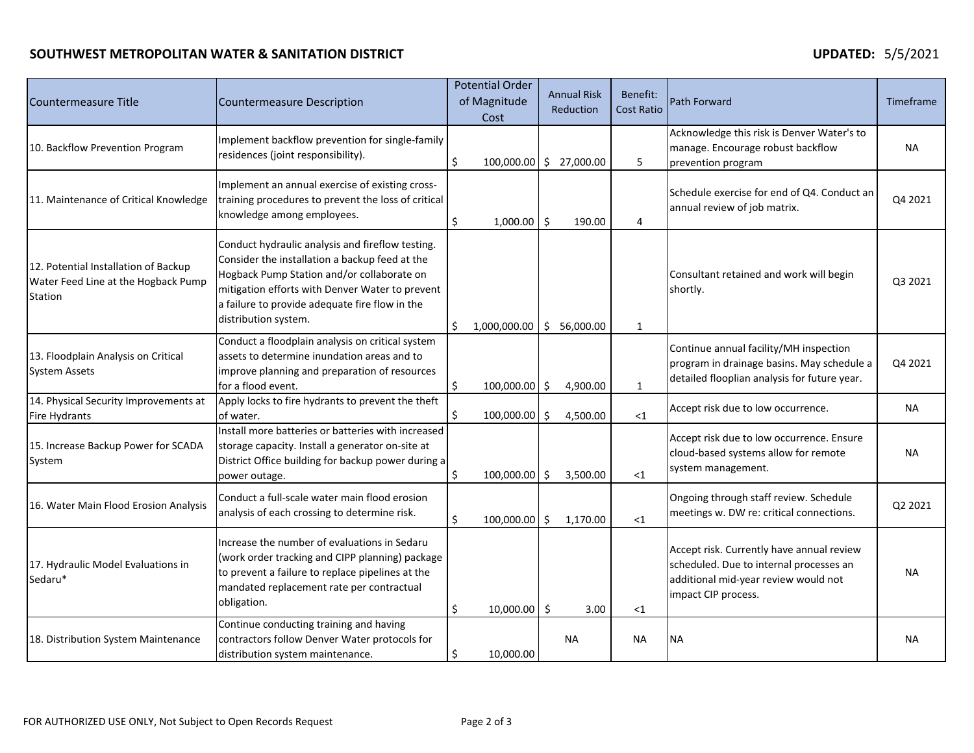# **SOUTHWEST METROPOLITAN WATER & SANITATION DISTRICT UPDATED:** 5/5/2021

| Countermeasure Title                                                                   | <b>Countermeasure Description</b>                                                                                                                                                                                                                                             |     | <b>Potential Order</b><br>of Magnitude<br>Cost |                | <b>Annual Risk</b><br>Reduction | Benefit:<br><b>Cost Ratio</b> | Path Forward                                                                                                                                        | Timeframe |
|----------------------------------------------------------------------------------------|-------------------------------------------------------------------------------------------------------------------------------------------------------------------------------------------------------------------------------------------------------------------------------|-----|------------------------------------------------|----------------|---------------------------------|-------------------------------|-----------------------------------------------------------------------------------------------------------------------------------------------------|-----------|
| 10. Backflow Prevention Program                                                        | Implement backflow prevention for single-family<br>residences (joint responsibility).                                                                                                                                                                                         | \$  | 100,000.00                                     | $\ddot{\zeta}$ | 27,000.00                       | 5                             | Acknowledge this risk is Denver Water's to<br>manage. Encourage robust backflow<br>prevention program                                               | <b>NA</b> |
| 11. Maintenance of Critical Knowledge                                                  | Implement an annual exercise of existing cross-<br>training procedures to prevent the loss of critical<br>knowledge among employees.                                                                                                                                          | \$  | 1,000.00                                       | -Ś             | 190.00                          | 4                             | Schedule exercise for end of Q4. Conduct an<br>annual review of job matrix.                                                                         | Q4 2021   |
| 12. Potential Installation of Backup<br>Water Feed Line at the Hogback Pump<br>Station | Conduct hydraulic analysis and fireflow testing.<br>Consider the installation a backup feed at the<br>Hogback Pump Station and/or collaborate on<br>mitigation efforts with Denver Water to prevent<br>a failure to provide adequate fire flow in the<br>distribution system. | \$. | $1,000,000.00$ \$ 56,000.00                    |                |                                 | $\mathbf{1}$                  | Consultant retained and work will begin<br>shortly.                                                                                                 | Q3 2021   |
| 13. Floodplain Analysis on Critical<br><b>System Assets</b>                            | Conduct a floodplain analysis on critical system<br>assets to determine inundation areas and to<br>improve planning and preparation of resources<br>for a flood event.                                                                                                        | \$  | $100,000.00$ \$                                |                | 4,900.00                        | $\mathbf{1}$                  | Continue annual facility/MH inspection<br>program in drainage basins. May schedule a<br>detailed flooplian analysis for future year.                | Q4 2021   |
| 14. Physical Security Improvements at<br>Fire Hydrants                                 | Apply locks to fire hydrants to prevent the theft<br>of water.                                                                                                                                                                                                                | Ś.  | 100,000.00 \$                                  |                | 4,500.00                        | $<$ 1                         | Accept risk due to low occurrence.                                                                                                                  | NA.       |
| 15. Increase Backup Power for SCADA<br>System                                          | Install more batteries or batteries with increased<br>storage capacity. Install a generator on-site at<br>District Office building for backup power during a<br>power outage.                                                                                                 | \$  | 100,000.00 \$                                  |                | 3,500.00                        | $<$ 1                         | Accept risk due to low occurrence. Ensure<br>cloud-based systems allow for remote<br>system management.                                             | ΝA        |
| 16. Water Main Flood Erosion Analysis                                                  | Conduct a full-scale water main flood erosion<br>analysis of each crossing to determine risk.                                                                                                                                                                                 | \$  | 100,000.00 \$                                  |                | 1,170.00                        | $<$ 1                         | Ongoing through staff review. Schedule<br>meetings w. DW re: critical connections.                                                                  | Q2 2021   |
| 17. Hydraulic Model Evaluations in<br>Sedaru*                                          | Increase the number of evaluations in Sedaru<br>(work order tracking and CIPP planning) package<br>to prevent a failure to replace pipelines at the<br>mandated replacement rate per contractual<br>obligation.                                                               | \$  | $10,000.00$ \$                                 |                | 3.00                            | $<$ 1                         | Accept risk. Currently have annual review<br>scheduled. Due to internal processes an<br>additional mid-year review would not<br>impact CIP process. | NA.       |
| 18. Distribution System Maintenance                                                    | Continue conducting training and having<br>contractors follow Denver Water protocols for<br>distribution system maintenance.                                                                                                                                                  | \$  | 10,000.00                                      |                | <b>NA</b>                       | <b>NA</b>                     | <b>NA</b>                                                                                                                                           | <b>NA</b> |